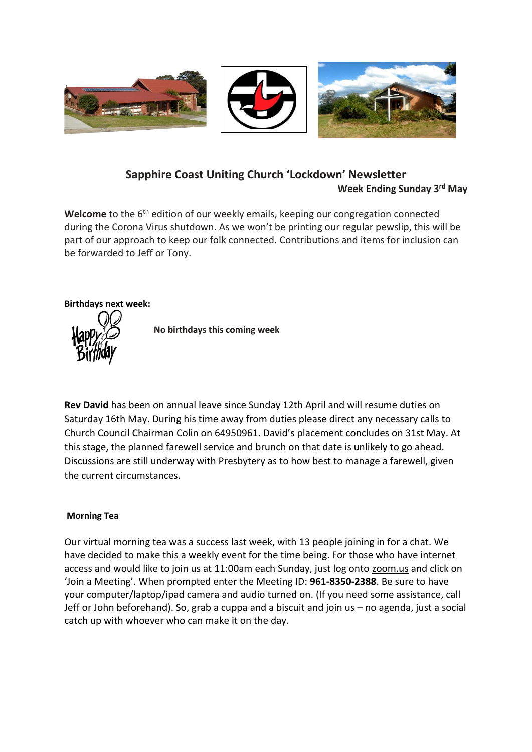

## **Sapphire Coast Uniting Church 'Lockdown' Newsletter Week Ending Sunday 3 rd May**

Welcome to the 6<sup>th</sup> edition of our weekly emails, keeping our congregation connected during the Corona Virus shutdown. As we won't be printing our regular pewslip, this will be part of our approach to keep our folk connected. Contributions and items for inclusion can be forwarded to Jeff or Tony.

## **Birthdays next week:**



 **No birthdays this coming week**

**Rev David** has been on annual leave since Sunday 12th April and will resume duties on Saturday 16th May. During his time away from duties please direct any necessary calls to Church Council Chairman Colin on 64950961. David's placement concludes on 31st May. At this stage, the planned farewell service and brunch on that date is unlikely to go ahead. Discussions are still underway with Presbytery as to how best to manage a farewell, given the current circumstances.

### **Morning Tea**

Our virtual morning tea was a success last week, with 13 people joining in for a chat. We have decided to make this a weekly event for the time being. For those who have internet access and would like to join us at 11:00am each Sunday, just log onto zoom.us and click on 'Join a Meeting'. When prompted enter the Meeting ID: **961-8350-2388**. Be sure to have your computer/laptop/ipad camera and audio turned on. (If you need some assistance, call Jeff or John beforehand). So, grab a cuppa and a biscuit and join us – no agenda, just a social catch up with whoever who can make it on the day.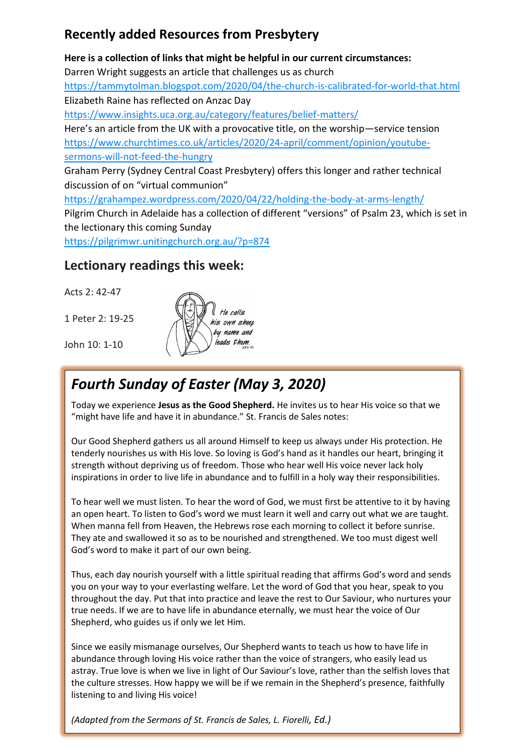# **Recently added Resources from Presbytery**

**Here is a collection of links that might be helpful in our current circumstances:** Darren Wright suggests an article that challenges us as church [https://tammytolman.blogspot.com/2020/04/the-church-is-calibrated-for-world-that.html](https://unitingchurch.us7.list-manage.com/track/click?u=8b13db725cf3e4b308fa1fd5a&id=26948c0d91&e=a6634b5374) Elizabeth Raine has reflected on Anzac Day [https://www.insights.uca.org.au/category/features/belief-matters/](https://unitingchurch.us7.list-manage.com/track/click?u=8b13db725cf3e4b308fa1fd5a&id=13acab8e90&e=a6634b5374) Here's an article from the UK with a provocative title, on the worship—service tension [https://www.churchtimes.co.uk/articles/2020/24-april/comment/opinion/youtube](https://unitingchurch.us7.list-manage.com/track/click?u=8b13db725cf3e4b308fa1fd5a&id=01e4f65fb7&e=a6634b5374)[sermons-will-not-feed-the-hungry](https://unitingchurch.us7.list-manage.com/track/click?u=8b13db725cf3e4b308fa1fd5a&id=01e4f65fb7&e=a6634b5374) Graham Perry (Sydney Central Coast Presbytery) offers this longer and rather technical discussion of on "virtual communion" [https://grahampez.wordpress.com/2020/04/22/holding-the-body-at-arms-length/](https://unitingchurch.us7.list-manage.com/track/click?u=8b13db725cf3e4b308fa1fd5a&id=10f120ab0a&e=a6634b5374)

Pilgrim Church in Adelaide has a collection of different "versions" of Psalm 23, which is set in the lectionary this coming Sunday

[https://pilgrimwr.unitingchurch.org.au/?p=874](https://unitingchurch.us7.list-manage.com/track/click?u=8b13db725cf3e4b308fa1fd5a&id=c4032b8a9a&e=a6634b5374)

# **Lectionary readings this week:**

Acts 2: 42-47

1 Peter 2: 19-25



John 10: 1-10

# *Fourth Sunday of Easter (May 3, 2020)*

Today we experience **Jesus as the Good Shepherd.** He invites us to hear His voice so that we "might have life and have it in abundance." St. Francis de Sales notes:

Our Good Shepherd gathers us all around Himself to keep us always under His protection. He tenderly nourishes us with His love. So loving is God's hand as it handles our heart, bringing it strength without depriving us of freedom. Those who hear well His voice never lack holy inspirations in order to live life in abundance and to fulfill in a holy way their responsibilities.

To hear well we must listen. To hear the word of God, we must first be attentive to it by having an open heart. To listen to God's word we must learn it well and carry out what we are taught. When manna fell from Heaven, the Hebrews rose each morning to collect it before sunrise. They ate and swallowed it so as to be nourished and strengthened. We too must digest well God's word to make it part of our own being.

Thus, each day nourish yourself with a little spiritual reading that affirms God's word and sends you on your way to your everlasting welfare. Let the word of God that you hear, speak to you throughout the day. Put that into practice and leave the rest to Our Saviour, who nurtures your true needs. If we are to have life in abundance eternally, we must hear the voice of Our Shepherd, who guides us if only we let Him.

Since we easily mismanage ourselves, Our Shepherd wants to teach us how to have life in abundance through loving His voice rather than the voice of strangers, who easily lead us astray. True love is when we live in light of Our Saviour's love, rather than the selfish loves that the culture stresses. How happy we will be if we remain in the Shepherd's presence, faithfully listening to and living His voice!

*(Adapted from the Sermons of St. Francis de Sales, L. Fiorelli, Ed.)*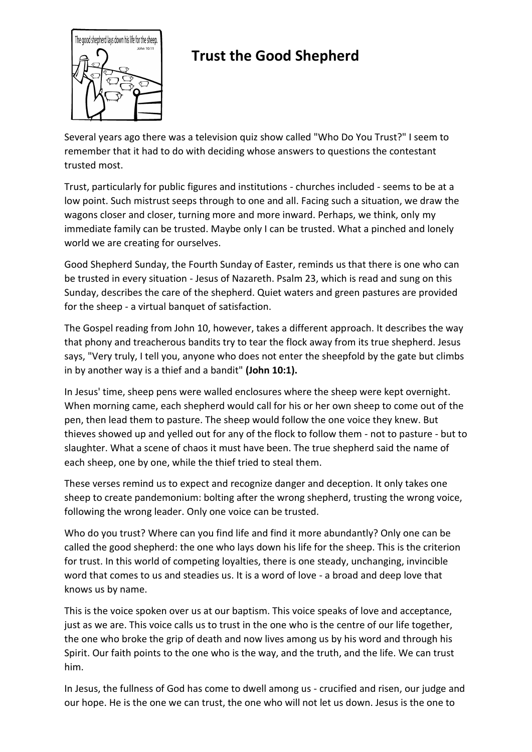

# **Trust the Good Shepherd**

Several years ago there was a television quiz show called "Who Do You Trust?" I seem to remember that it had to do with deciding whose answers to questions the contestant trusted most.

Trust, particularly for public figures and institutions - churches included - seems to be at a low point. Such mistrust seeps through to one and all. Facing such a situation, we draw the wagons closer and closer, turning more and more inward. Perhaps, we think, only my immediate family can be trusted. Maybe only I can be trusted. What a pinched and lonely world we are creating for ourselves.

Good Shepherd Sunday, the Fourth Sunday of Easter, reminds us that there is one who can be trusted in every situation - Jesus of Nazareth. Psalm 23, which is read and sung on this Sunday, describes the care of the shepherd. Quiet waters and green pastures are provided for the sheep - a virtual banquet of satisfaction.

The Gospel reading from John 10, however, takes a different approach. It describes the way that phony and treacherous bandits try to tear the flock away from its true shepherd. Jesus says, "Very truly, I tell you, anyone who does not enter the sheepfold by the gate but climbs in by another way is a thief and a bandit" **(John 10:1).**

In Jesus' time, sheep pens were walled enclosures where the sheep were kept overnight. When morning came, each shepherd would call for his or her own sheep to come out of the pen, then lead them to pasture. The sheep would follow the one voice they knew. But thieves showed up and yelled out for any of the flock to follow them - not to pasture - but to slaughter. What a scene of chaos it must have been. The true shepherd said the name of each sheep, one by one, while the thief tried to steal them.

These verses remind us to expect and recognize danger and deception. It only takes one sheep to create pandemonium: bolting after the wrong shepherd, trusting the wrong voice, following the wrong leader. Only one voice can be trusted.

Who do you trust? Where can you find life and find it more abundantly? Only one can be called the good shepherd: the one who lays down his life for the sheep. This is the criterion for trust. In this world of competing loyalties, there is one steady, unchanging, invincible word that comes to us and steadies us. It is a word of love - a broad and deep love that knows us by name.

This is the voice spoken over us at our baptism. This voice speaks of love and acceptance, just as we are. This voice calls us to trust in the one who is the centre of our life together, the one who broke the grip of death and now lives among us by his word and through his Spirit. Our faith points to the one who is the way, and the truth, and the life. We can trust him.

In Jesus, the fullness of God has come to dwell among us - crucified and risen, our judge and our hope. He is the one we can trust, the one who will not let us down. Jesus is the one to